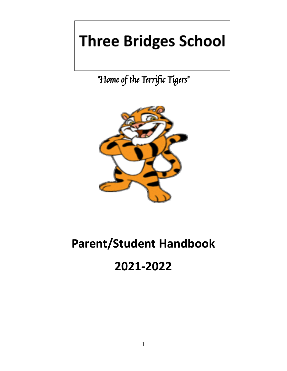## **Three Bridges School**

"Home of the Terrific Tigers"



# **Parent/Student Handbook**

### **2021-2022**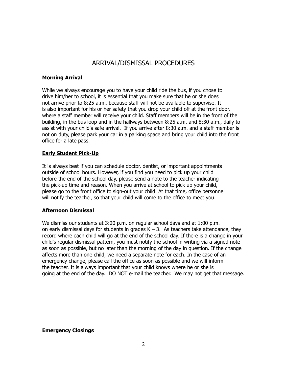#### ARRIVAL/DISMISSAL PROCEDURES

#### **Morning Arrival**

While we always encourage you to have your child ride the bus, if you chose to drive him/her to school, it is essential that you make sure that he or she does not arrive prior to 8:25 a.m., because staff will not be available to supervise. It is also important for his or her safety that you drop your child off at the front door, where a staff member will receive your child. Staff members will be in the front of the building, in the bus loop and in the hallways between 8:25 a.m. and 8:30 a.m., daily to assist with your child's safe arrival. If you arrive after 8:30 a.m. and a staff member is not on duty, please park your car in a parking space and bring your child into the front office for a late pass.

#### **Early Student Pick-Up**

It is always best if you can schedule doctor, dentist, or important appointments outside of school hours. However, if you find you need to pick up your child before the end of the school day, please send a note to the teacher indicating the pick-up time and reason. When you arrive at school to pick up your child, please go to the front office to sign-out your child. At that time, office personnel will notify the teacher, so that your child will come to the office to meet you.

#### **Afternoon Dismissal**

We dismiss our students at 3:20 p.m. on regular school days and at 1:00 p.m. on early dismissal days for students in grades  $K - 3$ . As teachers take attendance, they record where each child will go at the end of the school day. If there is a change in your child's regular dismissal pattern, you must notify the school in writing via a signed note as soon as possible, but no later than the morning of the day in question. If the change affects more than one child, we need a separate note for each. In the case of an emergency change, please call the office as soon as possible and we will inform the teacher. It is always important that your child knows where he or she is going at the end of the day. DO NOT e-mail the teacher. We may not get that message.

#### **Emergency Closings**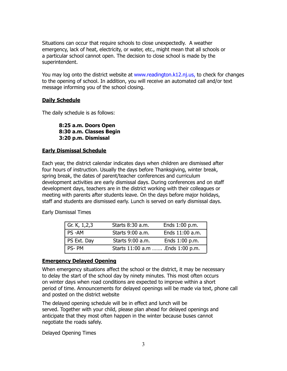Situations can occur that require schools to close unexpectedly. A weather emergency, lack of heat, electricity, or water, etc., might mean that all schools or a particular school cannot open. The decision to close school is made by the superintendent.

You may log onto the district website at www.readington.k12.nj.us, to check for changes to the opening of school. In addition, you will receive an automated call and/or text message informing you of the school closing.

#### **Daily Schedule**

The daily schedule is as follows:

**8:25 a.m. Doors Open 8:30 a.m. Classes Begin 3:20 p.m. Dismissal**

#### **Early Dismissal Schedule**

Each year, the district calendar indicates days when children are dismissed after four hours of instruction. Usually the days before Thanksgiving, winter break, spring break, the dates of parent/teacher conferences and curriculum development activities are early dismissal days. During conferences and on staff development days, teachers are in the district working with their colleagues or meeting with parents after students leave. On the days before major holidays, staff and students are dismissed early. Lunch is served on early dismissal days.

| Gr. K, $1,2,3$ | Starts 8:30 a.m.                 | Ends 1:00 p.m.  |
|----------------|----------------------------------|-----------------|
| PS-AM          | Starts 9:00 a.m.                 | Ends 11:00 a.m. |
| PS Ext. Day    | Starts 9:00 a.m.                 | Ends 1:00 p.m.  |
| PS-PM          | Starts 11:00 a.m  Ends 1:00 p.m. |                 |

Early Dismissal Times

#### **Emergency Delayed Opening**

When emergency situations affect the school or the district, it may be necessary to delay the start of the school day by ninety minutes. This most often occurs on winter days when road conditions are expected to improve within a short period of time. Announcements for delayed openings will be made via text, phone call and posted on the district website

The delayed opening schedule will be in effect and lunch will be served. Together with your child, please plan ahead for delayed openings and anticipate that they most often happen in the winter because buses cannot negotiate the roads safely.

Delayed Opening Times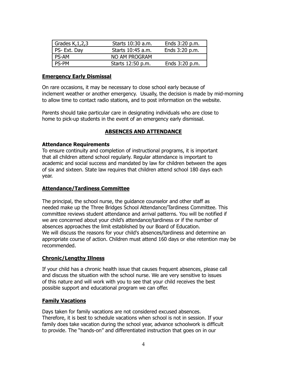| Grades $K$ , 1, 2, 3 | Starts 10:30 a.m. | Ends 3:20 p.m. |
|----------------------|-------------------|----------------|
| PS- Ext. Day         | Starts 10:45 a.m. | Ends 3:20 p.m. |
| <b>PS-AM</b>         | NO AM PROGRAM     |                |
| <b>PS-PM</b>         | Starts 12:50 p.m. | Ends 3:20 p.m. |

#### **Emergency Early Dismissal**

On rare occasions, it may be necessary to close school early because of inclement weather or another emergency. Usually, the decision is made by mid-morning to allow time to contact radio stations, and to post information on the website.

Parents should take particular care in designating individuals who are close to home to pick-up students in the event of an emergency early dismissal.

#### **ABSENCES AND ATTENDANCE**

#### **Attendance Requirements**

To ensure continuity and completion of instructional programs, it is important that all children attend school regularly. Regular attendance is important to academic and social success and mandated by law for children between the ages of six and sixteen. State law requires that children attend school 180 days each year.

#### **Attendance/Tardiness Committee**

The principal, the school nurse, the guidance counselor and other staff as needed make up the Three Bridges School Attendance/Tardiness Committee. This committee reviews student attendance and arrival patterns. You will be notified if we are concerned about your child's attendance/tardiness or if the number of absences approaches the limit established by our Board of Education. We will discuss the reasons for your child's absences/tardiness and determine an appropriate course of action. Children must attend 160 days or else retention may be recommended.

#### **Chronic/Lengthy Illness**

If your child has a chronic health issue that causes frequent absences, please call and discuss the situation with the school nurse. We are very sensitive to issues of this nature and will work with you to see that your child receives the best possible support and educational program we can offer.

#### **Family Vacations**

Days taken for family vacations are not considered excused absences. Therefore, it is best to schedule vacations when school is not in session. If your family does take vacation during the school year, advance schoolwork is difficult to provide. The "hands-on" and differentiated instruction that goes on in our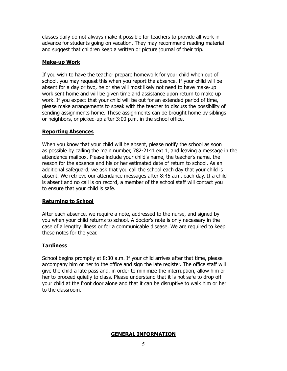classes daily do not always make it possible for teachers to provide all work in advance for students going on vacation. They may recommend reading material and suggest that children keep a written or picture journal of their trip.

#### **Make-up Work**

If you wish to have the teacher prepare homework for your child when out of school, you may request this when you report the absence. If your child will be absent for a day or two, he or she will most likely not need to have make-up work sent home and will be given time and assistance upon return to make up work. If you expect that your child will be out for an extended period of time, please make arrangements to speak with the teacher to discuss the possibility of sending assignments home. These assignments can be brought home by siblings or neighbors, or picked-up after 3:00 p.m. in the school office.

#### **Reporting Absences**

When you know that your child will be absent, please notify the school as soon as possible by calling the main number, 782-2141 ext.1, and leaving a message in the attendance mailbox. Please include your child's name, the teacher's name, the reason for the absence and his or her estimated date of return to school. As an additional safeguard, we ask that you call the school each day that your child is absent. We retrieve our attendance messages after 8:45 a.m. each day. If a child is absent and no call is on record, a member of the school staff will contact you to ensure that your child is safe.

#### **Returning to School**

After each absence, we require a note, addressed to the nurse, and signed by you when your child returns to school. A doctor's note is only necessary in the case of a lengthy illness or for a communicable disease. We are required to keep these notes for the year.

#### **Tardiness**

School begins promptly at 8:30 a.m. If your child arrives after that time, please accompany him or her to the office and sign the late register. The office staff will give the child a late pass and, in order to minimize the interruption, allow him or her to proceed quietly to class. Please understand that it is not safe to drop off your child at the front door alone and that it can be disruptive to walk him or her to the classroom.

#### **GENERAL INFORMATION**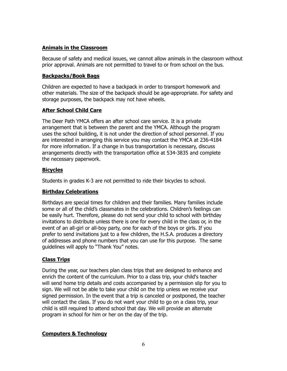#### **Animals in the Classroom**

Because of safety and medical issues, we cannot allow animals in the classroom without prior approval. Animals are not permitted to travel to or from school on the bus.

#### **Backpacks/Book Bags**

Children are expected to have a backpack in order to transport homework and other materials. The size of the backpack should be age-appropriate. For safety and storage purposes, the backpack may not have wheels.

#### **After School Child Care**

The Deer Path YMCA offers an after school care service. It is a private arrangement that is between the parent and the YMCA. Although the program uses the school building, it is not under the direction of school personnel. If you are interested in arranging this service you may contact the YMCA at 236-4184 for more information. If a change in bus transportation is necessary, discuss arrangements directly with the transportation office at 534-3835 and complete the necessary paperwork.

#### **Bicycles**

Students in grades K-3 are not permitted to ride their bicycles to school.

#### **Birthday Celebrations**

Birthdays are special times for children and their families. Many families include some or all of the child's classmates in the celebrations. Children's feelings can be easily hurt. Therefore, please do not send your child to school with birthday invitations to distribute unless there is one for every child in the class or, in the event of an all-girl or all-boy party, one for each of the boys or girls. If you prefer to send invitations just to a few children, the H.S.A. produces a directory of addresses and phone numbers that you can use for this purpose. The same guidelines will apply to "Thank You" notes.

#### **Class Trips**

During the year, our teachers plan class trips that are designed to enhance and enrich the content of the curriculum. Prior to a class trip, your child's teacher will send home trip details and costs accompanied by a permission slip for you to sign. We will not be able to take your child on the trip unless we receive your signed permission. In the event that a trip is canceled or postponed, the teacher will contact the class. If you do not want your child to go on a class trip, your child is still required to attend school that day. We will provide an alternate program in school for him or her on the day of the trip.

#### **Computers & Technology**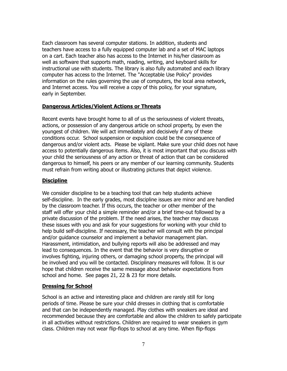Each classroom has several computer stations. In addition, students and teachers have access to a fully equipped computer lab and a set of MAC laptops on a cart. Each teacher also has access to the Internet in his/her classroom as well as software that supports math, reading, writing, and keyboard skills for instructional use with students. The library is also fully automated and each library computer has access to the Internet. The "Acceptable Use Policy" provides information on the rules governing the use of computers, the local area network, and Internet access. You will receive a copy of this policy, for your signature, early in September.

#### **Dangerous Articles/Violent Actions or Threats**

Recent events have brought home to all of us the seriousness of violent threats, actions, or possession of any dangerous article on school property, by even the youngest of children. We will act immediately and decisively if any of these conditions occur. School suspension or expulsion could be the consequence of dangerous and/or violent acts. Please be vigilant. Make sure your child does not have access to potentially dangerous items. Also, it is most important that you discuss with your child the seriousness of any action or threat of action that can be considered dangerous to himself, his peers or any member of our learning community. Students must refrain from writing about or illustrating pictures that depict violence.

#### **Discipline**

We consider discipline to be a teaching tool that can help students achieve self-discipline. In the early grades, most discipline issues are minor and are handled by the classroom teacher. If this occurs, the teacher or other member of the staff will offer your child a simple reminder and/or a brief time-out followed by a private discussion of the problem. If the need arises, the teacher may discuss these issues with you and ask for your suggestions for working with your child to help build self-discipline. If necessary, the teacher will consult with the principal and/or guidance counselor and implement a behavior management plan. Harassment, intimidation, and bullying reports will also be addressed and may lead to consequences. In the event that the behavior is very disruptive or involves fighting, injuring others, or damaging school property, the principal will be involved and you will be contacted. Disciplinary measures will follow. It is our hope that children receive the same message about behavior expectations from school and home. See pages 21, 22 & 23 for more details.

#### **Dressing for School**

School is an active and interesting place and children are rarely still for long periods of time. Please be sure your child dresses in clothing that is comfortable and that can be independently managed. Play clothes with sneakers are ideal and recommended because they are comfortable and allow the children to safely participate in all activities without restrictions. Children are required to wear sneakers in gym class. Children may not wear flip-flops to school at any time. When flip-flops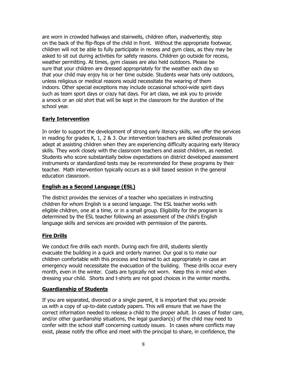are worn in crowded hallways and stairwells, children often, inadvertently, step on the back of the flip-flops of the child in front. Without the appropriate footwear, children will not be able to fully participate in recess and gym class, as they may be asked to sit out during activities for safety reasons. Children go outside for recess, weather permitting. At times, gym classes are also held outdoors. Please be sure that your children are dressed appropriately for the weather each day so that your child may enjoy his or her time outside. Students wear hats only outdoors, unless religious or medical reasons would necessitate the wearing of them indoors. Other special exceptions may include occasional school-wide spirit days such as team sport days or crazy hat days. For art class, we ask you to provide a smock or an old shirt that will be kept in the classroom for the duration of the school year.

#### **Early Intervention**

In order to support the development of strong early literacy skills, we offer the services in reading for grades K, 1, 2 & 3. Our intervention teachers are skilled professionals adept at assisting children when they are experiencing difficulty acquiring early literacy skills. They work closely with the classroom teachers and assist children, as needed. Students who score substantially below expectations on district developed assessment instruments or standardized tests may be recommended for these programs by their teacher. Math intervention typically occurs as a skill based session in the general education classroom.

#### **English as a Second Language (ESL)**

The district provides the services of a teacher who specializes in instructing children for whom English is a second language. The ESL teacher works with eligible children, one at a time, or in a small group. Eligibility for the program is determined by the ESL teacher following an assessment of the child's English language skills and services are provided with permission of the parents.

#### **Fire Drills**

We conduct fire drills each month. During each fire drill, students silently evacuate the building in a quick and orderly manner. Our goal is to make our children comfortable with this process and trained to act appropriately in case an emergency would necessitate the evacuation of the building. These drills occur every month, even in the winter. Coats are typically not worn. Keep this in mind when dressing your child. Shorts and t-shirts are not good choices in the winter months.

#### **Guardianship of Students**

If you are separated, divorced or a single parent, it is important that you provide us with a copy of up-to-date custody papers. This will ensure that we have the correct information needed to release a child to the proper adult. In cases of foster care, and/or other guardianship situations, the legal guardian(s) of the child may need to confer with the school staff concerning custody issues. In cases where conflicts may exist, please notify the office and meet with the principal to share, in confidence, the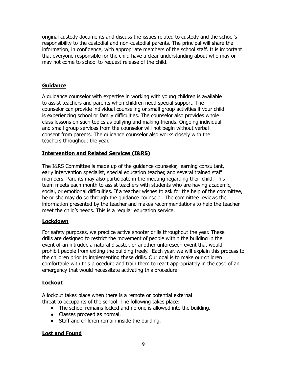original custody documents and discuss the issues related to custody and the school's responsibility to the custodial and non-custodial parents. The principal will share the information, in confidence, with appropriate members of the school staff. It is important that everyone responsible for the child have a clear understanding about who may or may not come to school to request release of the child.

#### **Guidance**

A guidance counselor with expertise in working with young children is available to assist teachers and parents when children need special support. The counselor can provide individual counseling or small group activities if your child is experiencing school or family difficulties. The counselor also provides whole class lessons on such topics as bullying and making friends. Ongoing individual and small group services from the counselor will not begin without verbal consent from parents. The guidance counselor also works closely with the teachers throughout the year.

#### **Intervention and Related Services (I&RS)**

The I&RS Committee is made up of the guidance counselor, learning consultant, early intervention specialist, special education teacher, and several trained staff members. Parents may also participate in the meeting regarding their child. This team meets each month to assist teachers with students who are having academic, social, or emotional difficulties. If a teacher wishes to ask for the help of the committee, he or she may do so through the guidance counselor. The committee reviews the information presented by the teacher and makes recommendations to help the teacher meet the child's needs. This is a regular education service.

#### **Lockdown**

For safety purposes, we practice active shooter drills throughout the year. These drills are designed to restrict the movement of people within the building in the event of an intruder, a natural disaster, or another unforeseen event that would prohibit people from exiting the building freely. Each year, we will explain this process to the children prior to implementing these drills. Our goal is to make our children comfortable with this procedure and train them to react appropriately in the case of an emergency that would necessitate activating this procedure.

#### **Lockout**

A lockout takes place when there is a remote or potential external threat to occupants of the school. The following takes place:

- The school remains locked and no one is allowed into the building.
- Classes proceed as normal.
- Staff and children remain inside the building.

#### **Lost and Found**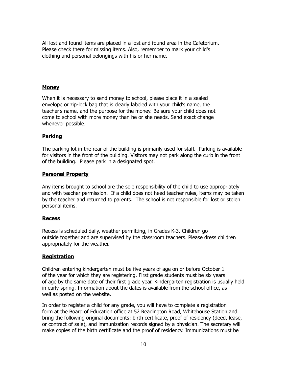All lost and found items are placed in a lost and found area in the Cafetorium. Please check there for missing items. Also, remember to mark your child's clothing and personal belongings with his or her name.

#### **Money**

When it is necessary to send money to school, please place it in a sealed envelope or zip-lock bag that is clearly labeled with your child's name, the teacher's name, and the purpose for the money. Be sure your child does not come to school with more money than he or she needs. Send exact change whenever possible.

#### **Parking**

The parking lot in the rear of the building is primarily used for staff. Parking is available for visitors in the front of the building. Visitors may not park along the curb in the front of the building. Please park in a designated spot.

#### **Personal Property**

Any items brought to school are the sole responsibility of the child to use appropriately and with teacher permission. If a child does not heed teacher rules, items may be taken by the teacher and returned to parents. The school is not responsible for lost or stolen personal items.

#### **Recess**

Recess is scheduled daily, weather permitting, in Grades K-3. Children go outside together and are supervised by the classroom teachers. Please dress children appropriately for the weather.

#### **Registration**

Children entering kindergarten must be five years of age on or before October 1 of the year for which they are registering. First grade students must be six years of age by the same date of their first grade year. Kindergarten registration is usually held in early spring. Information about the dates is available from the school office, as well as posted on the website.

In order to register a child for any grade, you will have to complete a registration form at the Board of Education office at 52 Readington Road, Whitehouse Station and bring the following original documents: birth certificate, proof of residency (deed, lease, or contract of sale), and immunization records signed by a physician. The secretary will make copies of the birth certificate and the proof of residency. Immunizations must be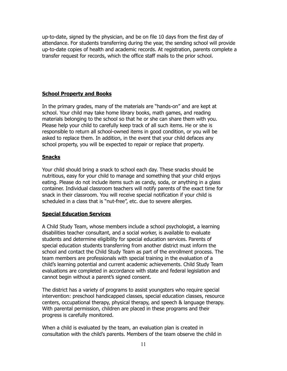up-to-date, signed by the physician, and be on file 10 days from the first day of attendance. For students transferring during the year, the sending school will provide up-to-date copies of health and academic records. At registration, parents complete a transfer request for records, which the office staff mails to the prior school.

#### **School Property and Books**

In the primary grades, many of the materials are "hands-on" and are kept at school. Your child may take home library books, math games, and reading materials belonging to the school so that he or she can share them with you. Please help your child to carefully keep track of all such items. He or she is responsible to return all school-owned items in good condition, or you will be asked to replace them. In addition, in the event that your child defaces any school property, you will be expected to repair or replace that property.

#### **Snacks**

Your child should bring a snack to school each day. These snacks should be nutritious, easy for your child to manage and something that your child enjoys eating. Please do not include items such as candy, soda, or anything in a glass container. Individual classroom teachers will notify parents of the exact time for snack in their classroom. You will receive special notification if your child is scheduled in a class that is "nut-free", etc. due to severe allergies.

#### **Special Education Services**

A Child Study Team, whose members include a school psychologist, a learning disabilities teacher consultant, and a social worker, is available to evaluate students and determine eligibility for special education services. Parents of special education students transferring from another district must inform the school and contact the Child Study Team as part of the enrollment process. The team members are professionals with special training in the evaluation of a child's learning potential and current academic achievements. Child Study Team evaluations are completed in accordance with state and federal legislation and cannot begin without a parent's signed consent.

The district has a variety of programs to assist youngsters who require special intervention: preschool handicapped classes, special education classes, resource centers, occupational therapy, physical therapy, and speech & language therapy. With parental permission, children are placed in these programs and their progress is carefully monitored.

When a child is evaluated by the team, an evaluation plan is created in consultation with the child's parents. Members of the team observe the child in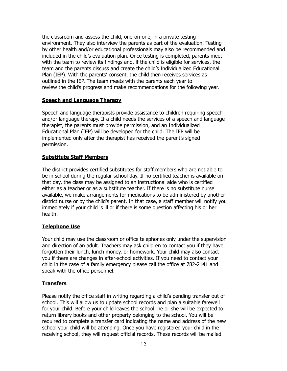the classroom and assess the child, one-on-one, in a private testing environment. They also interview the parents as part of the evaluation. Testing by other health and/or educational professionals may also be recommended and included in the child's evaluation plan. Once testing is completed, parents meet with the team to review its findings and, if the child is eligible for services, the team and the parents discuss and create the child's Individualized Educational Plan (IEP). With the parents' consent, the child then receives services as outlined in the IEP. The team meets with the parents each year to review the child's progress and make recommendations for the following year.

#### **Speech and Language Therapy**

Speech and language therapists provide assistance to children requiring speech and/or language therapy. If a child needs the services of a speech and language therapist, the parents must provide permission, and an Individualized Educational Plan (IEP) will be developed for the child. The IEP will be implemented only after the therapist has received the parent's signed permission.

#### **Substitute Staff Members**

The district provides certified substitutes for staff members who are not able to be in school during the regular school day. If no certified teacher is available on that day, the class may be assigned to an instructional aide who is certified either as a teacher or as a substitute teacher. If there is no substitute nurse available, we make arrangements for medications to be administered by another district nurse or by the child's parent. In that case, a staff member will notify you immediately if your child is ill or if there is some question affecting his or her health.

#### **Telephone Use**

Your child may use the classroom or office telephones only under the supervision and direction of an adult. Teachers may ask children to contact you if they have forgotten their lunch, lunch money, or homework. Your child may also contact you if there are changes in after-school activities. If you need to contact your child in the case of a family emergency please call the office at 782-2141 and speak with the office personnel.

#### **Transfers**

Please notify the office staff in writing regarding a child's pending transfer out of school. This will allow us to update school records and plan a suitable farewell for your child. Before your child leaves the school, he or she will be expected to return library books and other property belonging to the school. You will be required to complete a transfer card indicating the name and address of the new school your child will be attending. Once you have registered your child in the receiving school, they will request official records. These records will be mailed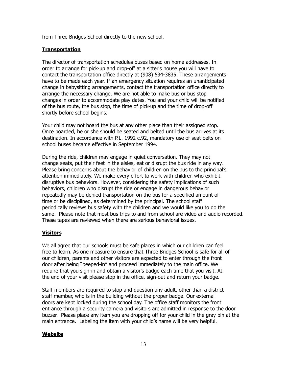from Three Bridges School directly to the new school.

#### **Transportation**

The director of transportation schedules buses based on home addresses. In order to arrange for pick-up and drop-off at a sitter's house you will have to contact the transportation office directly at (908) 534-3835. These arrangements have to be made each year. If an emergency situation requires an unanticipated change in babysitting arrangements, contact the transportation office directly to arrange the necessary change. We are not able to make bus or bus stop changes in order to accommodate play dates. You and your child will be notified of the bus route, the bus stop, the time of pick-up and the time of drop-off shortly before school begins.

Your child may not board the bus at any other place than their assigned stop. Once boarded, he or she should be seated and belted until the bus arrives at its destination. In accordance with P.L. 1992 c.92, mandatory use of seat belts on school buses became effective in September 1994.

During the ride, children may engage in quiet conversation. They may not change seats, put their feet in the aisles, eat or disrupt the bus ride in any way. Please bring concerns about the behavior of children on the bus to the principal's attention immediately. We make every effort to work with children who exhibit disruptive bus behaviors. However, considering the safety implications of such behaviors, children who disrupt the ride or engage in dangerous behavior repeatedly may be denied transportation on the bus for a specified amount of time or be disciplined, as determined by the principal. The school staff periodically reviews bus safety with the children and we would like you to do the same. Please note that most bus trips to and from school are video and audio recorded. These tapes are reviewed when there are serious behavioral issues.

#### **Visitors**

We all agree that our schools must be safe places in which our children can feel free to learn. As one measure to ensure that Three Bridges School is safe for all of our children, parents and other visitors are expected to enter through the front door after being "beeped-in" and proceed immediately to the main office. We require that you sign-in and obtain a visitor's badge each time that you visit. At the end of your visit please stop in the office, sign-out and return your badge.

Staff members are required to stop and question any adult, other than a district staff member, who is in the building without the proper badge. Our external doors are kept locked during the school day. The office staff monitors the front entrance through a security camera and visitors are admitted in response to the door buzzer. Please place any item you are dropping off for your child in the gray bin at the main entrance. Labeling the item with your child's name will be very helpful.

#### **Website**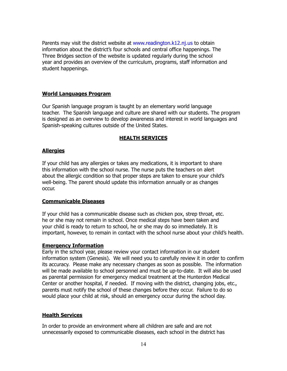Parents may visit the district website at www.readington.k12.nj.us to obtain information about the district's four schools and central office happenings. The Three Bridges section of the website is updated regularly during the school year and provides an overview of the curriculum, programs, staff information and student happenings.

#### **World Languages Program**

Our Spanish language program is taught by an elementary world language teacher. The Spanish language and culture are shared with our students. The program is designed as an overview to develop awareness and interest in world languages and Spanish-speaking cultures outside of the United States.

#### **HEALTH SERVICES**

#### **Allergies**

If your child has any allergies or takes any medications, it is important to share this information with the school nurse. The nurse puts the teachers on alert about the allergic condition so that proper steps are taken to ensure your child's well-being. The parent should update this information annually or as changes occur.

#### **Communicable Diseases**

If your child has a communicable disease such as chicken pox, strep throat, etc. he or she may not remain in school. Once medical steps have been taken and your child is ready to return to school, he or she may do so immediately. It is important, however, to remain in contact with the school nurse about your child's health.

#### **Emergency Information**

Early in the school year, please review your contact information in our student information system (Genesis). We will need you to carefully review it in order to confirm its accuracy. Please make any necessary changes as soon as possible. The information will be made available to school personnel and must be up-to-date. It will also be used as parental permission for emergency medical treatment at the Hunterdon Medical Center or another hospital, if needed. If moving with the district, changing jobs, etc., parents must notify the school of these changes before they occur. Failure to do so would place your child at risk, should an emergency occur during the school day.

#### **Health Services**

In order to provide an environment where all children are safe and are not unnecessarily exposed to communicable diseases, each school in the district has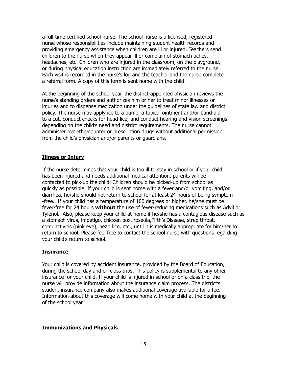a full-time certified school nurse. The school nurse is a licensed, registered nurse whose responsibilities include maintaining student health records and providing emergency assistance when children are ill or injured. Teachers send children to the nurse when they appear ill or complain of stomach aches, headaches, etc. Children who are injured in the classroom, on the playground, or during physical education instruction are immediately referred to the nurse. Each visit is recorded in the nurse's log and the teacher and the nurse complete a referral form. A copy of this form is sent home with the child.

At the beginning of the school year, the district-appointed physician reviews the nurse's standing orders and authorizes him or her to treat minor illnesses or injuries and to dispense medication under the guidelines of state law and district policy. The nurse may apply ice to a bump, a topical ointment and/or band-aid to a cut, conduct checks for head-lice, and conduct hearing and vision screenings depending on the child's need and district requirements. The nurse cannot administer over-the-counter or prescription drugs without additional permission from the child's physician and/or parents or guardians.

#### **Illness or Injury**

If the nurse determines that your child is too ill to stay in school or if your child has been injured and needs additional medical attention, parents will be contacted to pick-up the child. Children should be picked-up from school as quickly as possible. If your child is sent home with a fever and/or vomiting, and/or diarrhea, he/she should not return to school for at least 24 hours of being symptom -free. If your child has a temperature of 100 degrees or higher, he/she must be fever-free for 24 hours **without** the use of fever-reducing medications such as Advil or Tylenol. Also, please keep your child at home if he/she has a contagious disease such as a stomach virus, impetigo, chicken pox, roseola,Fifth's Disease, strep throat, conjunctivitis (pink eye), head lice, etc., until it is medically appropriate for him/her to return to school. Please feel free to contact the school nurse with questions regarding your child's return to school.

#### **Insurance**

Your child is covered by accident insurance, provided by the Board of Education, during the school day and on class trips. This policy is supplemental to any other insurance for your child. If your child is injured in school or on a class trip, the nurse will provide information about the insurance claim process. The district's student insurance company also makes additional coverage available for a fee. Information about this coverage will come home with your child at the beginning of the school year.

#### **Immunizations and Physicals**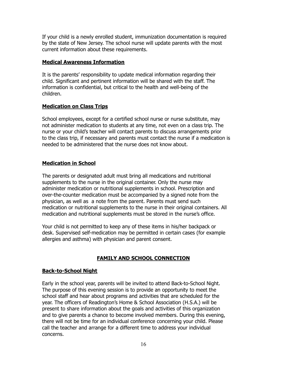If your child is a newly enrolled student, immunization documentation is required by the state of New Jersey. The school nurse will update parents with the most current information about these requirements.

#### **Medical Awareness Information**

It is the parents' responsibility to update medical information regarding their child. Significant and pertinent information will be shared with the staff. The information is confidential, but critical to the health and well-being of the children.

#### **Medication on Class Trips**

School employees, except for a certified school nurse or nurse substitute, may not administer medication to students at any time, not even on a class trip. The nurse or your child's teacher will contact parents to discuss arrangements prior to the class trip, if necessary and parents must contact the nurse if a medication is needed to be administered that the nurse does not know about.

#### **Medication in School**

The parents or designated adult must bring all medications and nutritional supplements to the nurse in the original container. Only the nurse may administer medication or nutritional supplements in school. Prescription and over-the-counter medication must be accompanied by a signed note from the physician, as well as a note from the parent. Parents must send such medication or nutritional supplements to the nurse in their original containers. All medication and nutritional supplements must be stored in the nurse's office.

Your child is not permitted to keep any of these items in his/her backpack or desk. Supervised self-medication may be permitted in certain cases (for example allergies and asthma) with physician and parent consent.

#### **FAMILY AND SCHOOL CONNECTION**

#### **Back-to-School Night**

Early in the school year, parents will be invited to attend Back-to-School Night. The purpose of this evening session is to provide an opportunity to meet the school staff and hear about programs and activities that are scheduled for the year. The officers of Readington's Home & School Association (H.S.A.) will be present to share information about the goals and activities of this organization and to give parents a chance to become involved members. During this evening, there will not be time for an individual conference concerning your child. Please call the teacher and arrange for a different time to address your individual concerns.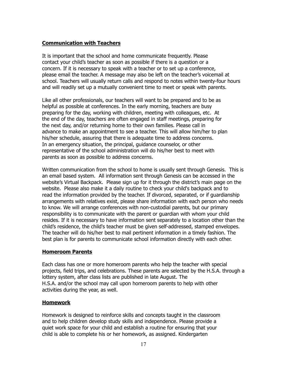#### **Communication with Teachers**

It is important that the school and home communicate frequently. Please contact your child's teacher as soon as possible if there is a question or a concern. If it is necessary to speak with a teacher or to set up a conference, please email the teacher. A message may also be left on the teacher's voicemail at school. Teachers will usually return calls and respond to notes within twenty-four hours and will readily set up a mutually convenient time to meet or speak with parents.

Like all other professionals, our teachers will want to be prepared and to be as helpful as possible at conferences. In the early morning, teachers are busy preparing for the day, working with children, meeting with colleagues, etc. At the end of the day, teachers are often engaged in staff meetings, preparing for the next day, and/or returning home to their own families. Please call in advance to make an appointment to see a teacher. This will allow him/her to plan his/her schedule, assuring that there is adequate time to address concerns. In an emergency situation, the principal, guidance counselor, or other representative of the school administration will do his/her best to meet with parents as soon as possible to address concerns.

Written communication from the school to home is usually sent through Genesis. This is an email based system. All information sent through Genesis can be accessed in the website's Virtual Backpack. Please sign up for it through the district's main page on the website. Please also make it a daily routine to check your child's backpack and to read the information provided by the teacher. If divorced, separated, or if guardianship arrangements with relatives exist, please share information with each person who needs to know. We will arrange conferences with non-custodial parents, but our primary responsibility is to communicate with the parent or guardian with whom your child resides. If it is necessary to have information sent separately to a location other than the child's residence, the child's teacher must be given self-addressed, stamped envelopes. The teacher will do his/her best to mail pertinent information in a timely fashion. The best plan is for parents to communicate school information directly with each other.

#### **Homeroom Parents**

Each class has one or more homeroom parents who help the teacher with special projects, field trips, and celebrations. These parents are selected by the H.S.A. through a lottery system, after class lists are published in late August. The H.S.A. and/or the school may call upon homeroom parents to help with other activities during the year, as well.

#### **Homework**

Homework is designed to reinforce skills and concepts taught in the classroom and to help children develop study skills and independence. Please provide a quiet work space for your child and establish a routine for ensuring that your child is able to complete his or her homework, as assigned. Kindergarten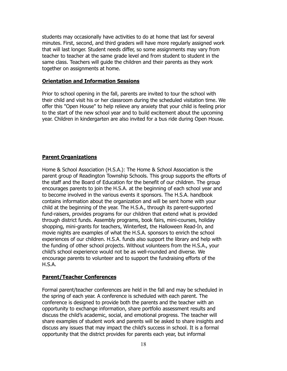students may occasionally have activities to do at home that last for several minutes. First, second, and third graders will have more regularly assigned work that will last longer. Student needs differ, so some assignments may vary from teacher to teacher at the same grade level and from student to student in the same class. Teachers will guide the children and their parents as they work together on assignments at home.

#### **Orientation and Information Sessions**

Prior to school opening in the fall, parents are invited to tour the school with their child and visit his or her classroom during the scheduled visitation time. We offer this "Open House" to help relieve any anxiety that your child is feeling prior to the start of the new school year and to build excitement about the upcoming year. Children in kindergarten are also invited for a bus ride during Open House.

#### **Parent Organizations**

Home & School Association (H.S.A.): The Home & School Association is the parent group of Readington Township Schools. This group supports the efforts of the staff and the Board of Education for the benefit of our children. The group encourages parents to join the H.S.A. at the beginning of each school year and to become involved in the various events it sponsors. The H.S.A. handbook contains information about the organization and will be sent home with your child at the beginning of the year. The H.S.A., through its parent-supported fund-raisers, provides programs for our children that extend what is provided through district funds. Assembly programs, book fairs, mini-courses, holiday shopping, mini-grants for teachers, Winterfest, the Halloween Read-In, and movie nights are examples of what the H.S.A. sponsors to enrich the school experiences of our children. H.S.A. funds also support the library and help with the funding of other school projects. Without volunteers from the H.S.A., your child's school experience would not be as well-rounded and diverse. We encourage parents to volunteer and to support the fundraising efforts of the H.S.A.

#### **Parent/Teacher Conferences**

Formal parent/teacher conferences are held in the fall and may be scheduled in the spring of each year. A conference is scheduled with each parent. The conference is designed to provide both the parents and the teacher with an opportunity to exchange information, share portfolio assessment results and discuss the child's academic, social, and emotional progress. The teacher will share examples of student work and parents will be asked to share insights and discuss any issues that may impact the child's success in school. It is a formal opportunity that the district provides for parents each year, but informal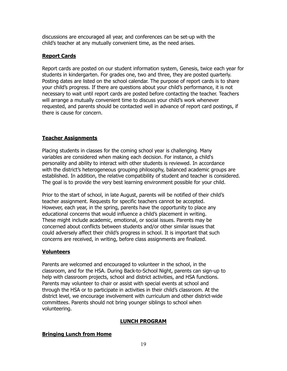discussions are encouraged all year, and conferences can be set-up with the child's teacher at any mutually convenient time, as the need arises.

#### **Report Cards**

Report cards are posted on our student information system, Genesis, twice each year for students in kindergarten. For grades one, two and three, they are posted quarterly. Posting dates are listed on the school calendar. The purpose of report cards is to share your child's progress. If there are questions about your child's performance, it is not necessary to wait until report cards are posted before contacting the teacher. Teachers will arrange a mutually convenient time to discuss your child's work whenever requested, and parents should be contacted well in advance of report card postings, if there is cause for concern.

#### **Teacher Assignments**

Placing students in classes for the coming school year is challenging. Many variables are considered when making each decision. For instance, a child's personality and ability to interact with other students is reviewed. In accordance with the district's heterogeneous grouping philosophy, balanced academic groups are established. In addition, the relative compatibility of student and teacher is considered. The goal is to provide the very best learning environment possible for your child.

Prior to the start of school, in late August, parents will be notified of their child's teacher assignment. Requests for specific teachers cannot be accepted. However, each year, in the spring, parents have the opportunity to place any educational concerns that would influence a child's placement in writing. These might include academic, emotional, or social issues. Parents may be concerned about conflicts between students and/or other similar issues that could adversely affect their child's progress in school. It is important that such concerns are received, in writing, before class assignments are finalized.

#### **Volunteers**

Parents are welcomed and encouraged to volunteer in the school, in the classroom, and for the HSA. During Back-to-School Night, parents can sign-up to help with classroom projects, school and district activities, and HSA functions. Parents may volunteer to chair or assist with special events at school and through the HSA or to participate in activities in their child's classroom. At the district level, we encourage involvement with curriculum and other district-wide committees. Parents should not bring younger siblings to school when volunteering.

#### **LUNCH PROGRAM**

#### **Bringing Lunch from Home**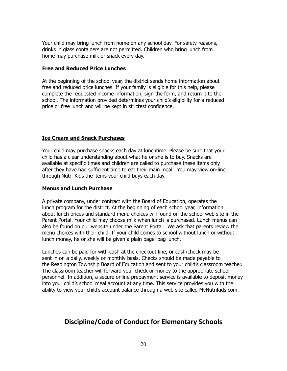Your child may bring lunch from home on any school day. For safety reasons, drinks in glass containers are not permitted. Children who bring lunch from home may purchase milk or snack every day.

#### **Free and Reduced Price Lunches**

At the beginning of the school year, the district sends home information about free and reduced price lunches. If your family is eligible for this help, please complete the requested income information, sign the form, and return it to the school. The information provided determines your child's eligibility for a reduced price or free lunch and will be kept in strictest confidence.

#### **Ice Cream and Snack Purchases**

Your child may purchase snacks each day at lunchtime. Please be sure that your child has a clear understanding about what he or she is to buy. Snacks are available at specific times and children are called to purchase these items only after they have had sufficient time to eat their main meal. You may view on-line through Nutri-Kids the items your child buys each day.

#### **Menus and Lunch Purchase**

A private company, under contract with the Board of Education, operates the lunch program for the district. At the beginning of each school year, information about lunch prices and standard menu choices will found on the school web site in the Parent Portal. Your child may choose milk when lunch is purchased. Lunch menus can also be found on our website under the Parent Portal. We ask that parents review the menu choices with their child. If your child comes to school without lunch or without lunch money, he or she will be given a plain bagel bag lunch.

Lunches can be paid for with cash at the checkout line, or cash/check may be sent in on a daily, weekly or monthly basis. Checks should be made payable to the Readington Township Board of Education and sent to your child's classroom teacher. The classroom teacher will forward your check or money to the appropriate school personnel. In addition, a secure online prepayment service is available to deposit money into your child's school meal account at any time. This service provides you with the ability to view your child's account balance through a web site called MyNutriKids.com.

#### **Discipline/Code of Conduct for Elementary Schools**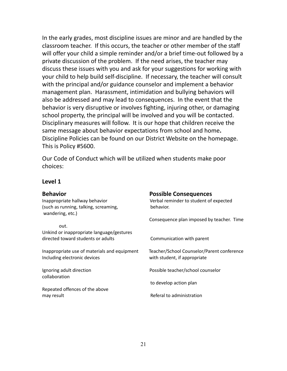In the early grades, most discipline issues are minor and are handled by the classroom teacher. If this occurs, the teacher or other member of the staff will offer your child a simple reminder and/or a brief time-out followed by a private discussion of the problem. If the need arises, the teacher may discuss these issues with you and ask for your suggestions for working with your child to help build self-discipline. If necessary, the teacher will consult with the principal and/or guidance counselor and implement a behavior management plan. Harassment, intimidation and bullying behaviors will also be addressed and may lead to consequences. In the event that the behavior is very disruptive or involves fighting, injuring other, or damaging school property, the principal will be involved and you will be contacted. Disciplinary measures will follow. It is our hope that children receive the same message about behavior expectations from school and home**.** Discipline Policies can be found on our District Website on the homepage. This is Policy #5600.

Our Code of Conduct which will be utilized when students make poor choices:

#### **Level 1**

(such as running, talking, screaming, behavior. wandering, etc.)

out. Unkind or inappropriate language/gestures directed toward students or adults Communication with parent

Inappropriate use of materials and equipment Teacher/School Counselor/Parent conference Including electronic devices with student, if appropriate

collaboration

Repeated offences of the above may result **Referal to administration** 

#### **Behavior Possible Consequences**

Inappropriate hallway behavior verbal reminder to student of expected

Consequence plan imposed by teacher. Time

Ignoring adult direction and a possible teacher/school counselor

to develop action plan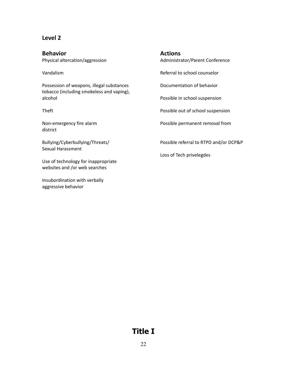#### **Level 2**

**Behavior Actions**

Possession of weapons, illegal substances Documentation of behavior tobacco (including smokeless and vaping), alcohol Possible in school suspension

district

Sexual Harassment

Use of technology for inappropriate websites and /or web searches

Insubordination with verbally aggressive behavior

Physical altercation/aggression and Administrator/Parent Conference

Vandalism Referral to school counselor

Theft **Possible out of school suspension** 

Non-emergency fire alarm example and the possible permanent removal from

Bullying/Cyberbullying/Threats/ Possible referral to RTPD and/or DCP&P

Loss of Tech privelegdes

### **Title I**